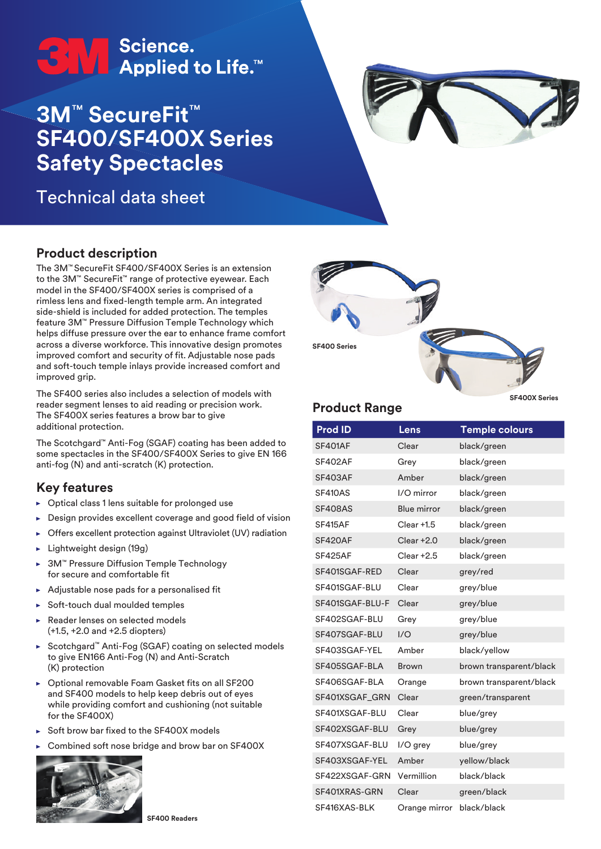# <del>●</del><br>● ● ● Applied to Life.™

## **3M**™ **SecureFit**™ **SF400/SF400X Series Safety Spectacles**

Technical data sheet



#### **Product description**

The 3M™ SecureFit SF400/SF400X Series is an extension to the 3M™ SecureFit™ range of protective eyewear. Each model in the SF400/SF400X series is comprised of a rimless lens and fixed-length temple arm. An integrated side-shield is included for added protection. The temples feature 3M™ Pressure Diffusion Temple Technology which helps diffuse pressure over the ear to enhance frame comfort across a diverse workforce. This innovative design promotes improved comfort and security of fit. Adjustable nose pads and soft-touch temple inlays provide increased comfort and improved grip.

The SF400 series also includes a selection of models with reader segment lenses to aid reading or precision work. The SF400X series features a brow bar to give additional protection.

The Scotchgard™ Anti-Fog (SGAF) coating has been added to some spectacles in the SF400/SF400X Series to give EN 166 anti-fog (N) and anti-scratch (K) protection.

### **Key features**

- $\triangleright$  Optical class 1 lens suitable for prolonged use
- Design provides excellent coverage and good field of vision
- Offers excellent protection against Ultraviolet (UV) radiation þ.
- Lightweight design (19g)
- 3M™ Pressure Diffusion Temple Technology for secure and comfortable fit
- Adjustable nose pads for a personalised fit ь
- Soft-touch dual moulded temples
- Reader lenses on selected models (+1.5, +2.0 and +2.5 diopters)
- ► Scotchgard™ Anti-Fog (SGAF) coating on selected models to give EN166 Anti-Fog (N) and Anti-Scratch (K) protection
- Optional removable Foam Gasket fits on all SF200 and SF400 models to help keep debris out of eyes while providing comfort and cushioning (not suitable for the SF400X)
- Soft brow bar fixed to the SF400X models
- Combined soft nose bridge and brow bar on SF400X





#### **Product Range**

**SF400X Series**

| <b>Prod ID</b>  | Lens               | <b>Temple colours</b>   |
|-----------------|--------------------|-------------------------|
| <b>SF401AF</b>  | Clear              | black/green             |
| SF402AF         | Grey               | black/green             |
| <b>SF403AF</b>  | Amber              | black/green             |
| <b>SF410AS</b>  | I/O mirror         | black/green             |
| <b>SF408AS</b>  | <b>Blue mirror</b> | black/green             |
| SF415AF         | Clear +1.5         | black/green             |
| SF420AF         | $Clear + 2.0$      | black/green             |
| SF425AF         | $Clear + 2.5$      | black/green             |
| SF401SGAF-RED   | Clear              | grey/red                |
| SF401SGAF-BLU   | Clear              | grey/blue               |
| SF401SGAF-BLU-F | Clear              | grey/blue               |
| SF402SGAF-BLU   | Grey               | grey/blue               |
| SF407SGAF-BLU   | 1/O                | grey/blue               |
| SF403SGAF-YEL   | Amber              | black/yellow            |
| SF405SGAF-BLA   | Brown              | brown transparent/black |
| SF406SGAF-BLA   | Orange             | brown transparent/black |
| SF401XSGAF GRN  | Clear              | green/transparent       |
| SF401XSGAF-BLU  | Clear              | blue/grey               |
| SF402XSGAF-BLU  | Grey               | blue/grey               |
| SF407XSGAF-BLU  | I/O grey           | blue/grey               |
| SF403XSGAF-YEL  | Amber              | yellow/black            |
| SF422XSGAF-GRN  | Vermillion         | black/black             |
| SF401XRAS-GRN   | Clear              | green/black             |
| SF416XAS-BLK    | Orange mirror      | black/black             |

**SF400 Readers**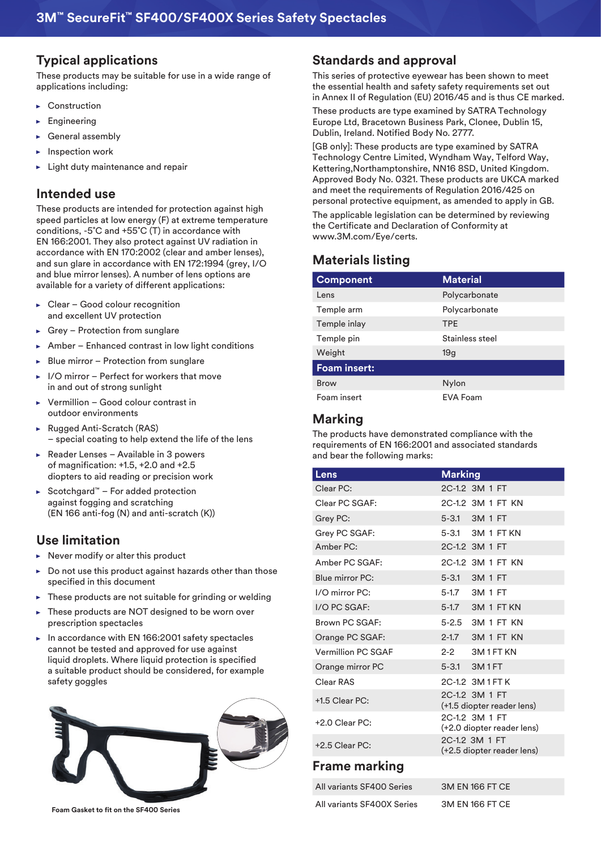#### **Typical applications**

These products may be suitable for use in a wide range of applications including:

- ▶ Construction
- Engineering
- General assembly
- Inspection work
- Light duty maintenance and repair

#### **Intended use**

These products are intended for protection against high speed particles at low energy (F) at extreme temperature conditions, -5˚C and +55˚C (T) in accordance with EN 166:2001. They also protect against UV radiation in accordance with EN 170:2002 (clear and amber lenses), and sun glare in accordance with EN 172:1994 (grey, I/O and blue mirror lenses). A number of lens options are available for a variety of different applications:

- Clear Good colour recognition and excellent UV protection
- Grey Protection from sunglare
- Amber Enhanced contrast in low light conditions
- Blue mirror Protection from sunglare
- I/O mirror Perfect for workers that move in and out of strong sunlight
- Vermillion Good colour contrast in ь outdoor environments
- Rugged Anti-Scratch (RAS) – special coating to help extend the life of the lens
- Reader Lenses Available in 3 powers of magnification: +1.5, +2.0 and +2.5 diopters to aid reading or precision work
- ► Scotchgard™ For added protection against fogging and scratching (EN 166 anti-fog (N) and anti-scratch (K))

#### **Use limitation**

- Never modify or alter this product  $\sim$
- Do not use this product against hazards other than those specified in this document
- These products are not suitable for grinding or welding
- These products are NOT designed to be worn over × prescription spectacles
- $\blacktriangleright$  In accordance with EN 166:2001 safety spectacles cannot be tested and approved for use against liquid droplets. Where liquid protection is specified a suitable product should be considered, for example safety goggles



**Foam Gasket to fit on the SF400 Series**

#### **Standards and approval**

This series of protective eyewear has been shown to meet the essential health and safety safety requirements set out in Annex II of Regulation (EU) 2016/45 and is thus CE marked.

These products are type examined by SATRA Technology Europe Ltd, Bracetown Business Park, Clonee, Dublin 15, Dublin, Ireland. Notified Body No. 2777.

[GB only]: These products are type examined by SATRA Technology Centre Limited, Wyndham Way, Telford Way, Kettering,Northamptonshire, NN16 8SD, United Kingdom. Approved Body No. 0321. These products are UKCA marked and meet the requirements of Regulation 2016/425 on personal protective equipment, as amended to apply in GB. The applicable legislation can be determined by reviewing the Certificate and Declaration of Conformity at

### **Materials listing**

www.3M.com/Eye/certs.

| <b>Component</b>    | <b>Material</b> |
|---------------------|-----------------|
| Lens                | Polycarbonate   |
| Temple arm          | Polycarbonate   |
| Temple inlay        | <b>TPE</b>      |
| Temple pin          | Stainless steel |
| Weight              | 19 <sub>q</sub> |
| <b>Foam insert:</b> |                 |
| <b>Brow</b>         | Nylon           |
| Foam insert         | <b>EVA Foam</b> |

#### **Marking**

The products have demonstrated compliance with the requirements of EN 166:2001 and associated standards and bear the following marks:

| Lens               | <b>Marking</b>                               |
|--------------------|----------------------------------------------|
| Clear PC:          | 2C-1.2 3M 1 FT                               |
| Clear PC SGAF:     | 2C-1.2 3M 1 FT KN                            |
| Grey PC:           | 5-3.1 3M 1 FT                                |
| Grey PC SGAF:      | 5-3.1 3M 1 FT KN                             |
| Amber PC:          | 2C-1.2 3M 1 FT                               |
| Amber PC SGAF:     | 2C-1.2 3M 1 FT KN                            |
| Blue mirror PC:    | 5-3.1 3M 1 FT                                |
| $1/O$ mirror $PC:$ | 5-1.7 3M 1 FT                                |
| I/O PC SGAF:       | 5-1.7 3M 1 FT KN                             |
| Brown PC SGAF:     | 5-2.5 3M 1 FT KN                             |
| Orange PC SGAF:    | 2-1.7 3M 1 FT KN                             |
| Vermillion PC SGAF | 2-2 3M 1 FT KN                               |
| Orange mirror PC   | 5-3.1 3M1FT                                  |
| Clear RAS          | 2C-1.2 3M1FTK                                |
| +1.5 Clear PC:     | 2C-1.2 3M 1 FT<br>(+1.5 diopter reader lens) |
| $+2.0$ Clear PC:   | 2C-1.2 3M 1 FT<br>(+2.0 diopter reader lens) |
| +2.5 Clear PC:     | 2C-1.2 3M 1 FT<br>(+2.5 diopter reader lens) |
|                    |                                              |

#### **Frame marking**

| All variants SF400 Series  | 3M EN 166 FT CE |
|----------------------------|-----------------|
| All variants SF400X Series | 3M EN 166 FT CE |